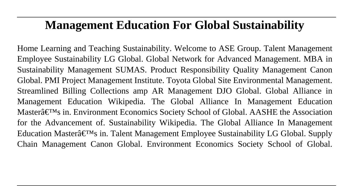# **Management Education For Global Sustainability**

Home Learning and Teaching Sustainability. Welcome to ASE Group. Talent Management Employee Sustainability LG Global. Global Network for Advanced Management. MBA in Sustainability Management SUMAS. Product Responsibility Quality Management Canon Global. PMI Project Management Institute. Toyota Global Site Environmental Management. Streamlined Billing Collections amp AR Management DJO Global. Global Alliance in Management Education Wikipedia. The Global Alliance In Management Education Master $\hat{\mathbf{a}} \in \mathbb{M}$ s in. Environment Economics Society School of Global. AASHE the Association for the Advancement of. Sustainability Wikipedia. The Global Alliance In Management Education Master $\hat{\mathfrak{a}} \in \mathbb{N}$ s in. Talent Management Employee Sustainability LG Global. Supply Chain Management Canon Global. Environment Economics Society School of Global.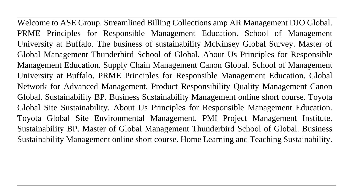Welcome to ASE Group. Streamlined Billing Collections amp AR Management DJO Global. PRME Principles for Responsible Management Education. School of Management University at Buffalo. The business of sustainability McKinsey Global Survey. Master of Global Management Thunderbird School of Global. About Us Principles for Responsible Management Education. Supply Chain Management Canon Global. School of Management University at Buffalo. PRME Principles for Responsible Management Education. Global Network for Advanced Management. Product Responsibility Quality Management Canon Global. Sustainability BP. Business Sustainability Management online short course. Toyota Global Site Sustainability. About Us Principles for Responsible Management Education. Toyota Global Site Environmental Management. PMI Project Management Institute. Sustainability BP. Master of Global Management Thunderbird School of Global. Business Sustainability Management online short course. Home Learning and Teaching Sustainability.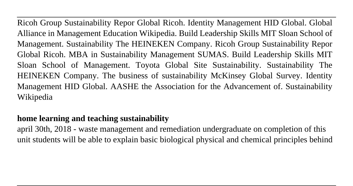Ricoh Group Sustainability Repor Global Ricoh. Identity Management HID Global. Global Alliance in Management Education Wikipedia. Build Leadership Skills MIT Sloan School of Management. Sustainability The HEINEKEN Company. Ricoh Group Sustainability Repor Global Ricoh. MBA in Sustainability Management SUMAS. Build Leadership Skills MIT Sloan School of Management. Toyota Global Site Sustainability. Sustainability The HEINEKEN Company. The business of sustainability McKinsey Global Survey. Identity Management HID Global. AASHE the Association for the Advancement of. Sustainability Wikipedia

### **home learning and teaching sustainability**

april 30th, 2018 - waste management and remediation undergraduate on completion of this unit students will be able to explain basic biological physical and chemical principles behind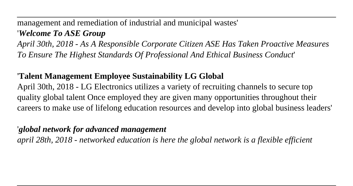management and remediation of industrial and municipal wastes'

#### '*Welcome To ASE Group*

*April 30th, 2018 - As A Responsible Corporate Citizen ASE Has Taken Proactive Measures To Ensure The Highest Standards Of Professional And Ethical Business Conduct*'

### '**Talent Management Employee Sustainability LG Global**

April 30th, 2018 - LG Electronics utilizes a variety of recruiting channels to secure top quality global talent Once employed they are given many opportunities throughout their careers to make use of lifelong education resources and develop into global business leaders'

#### '*global network for advanced management*

*april 28th, 2018 - networked education is here the global network is a flexible efficient*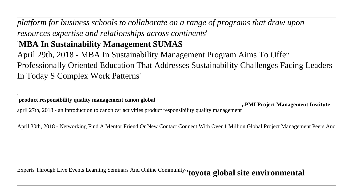*platform for business schools to collaborate on a range of programs that draw upon resources expertise and relationships across continents*'

## '**MBA In Sustainability Management SUMAS**

April 29th, 2018 - MBA In Sustainability Management Program Aims To Offer Professionally Oriented Education That Addresses Sustainability Challenges Facing Leaders In Today S Complex Work Patterns'

'**product responsibility quality management canon global**

april 27th, 2018 - an introduction to canon csr activities product responsibility quality management<sup>'</sup> <sup>1</sup>PMI Project Management Institute april 27th, 2018 - an introduction to canon csr activities product responsibility

April 30th, 2018 - Networking Find A Mentor Friend Or New Contact Connect With Over 1 Million Global Project Management Peers And

Experts Through Live Events Learning Seminars And Online Community''**toyota global site environmental**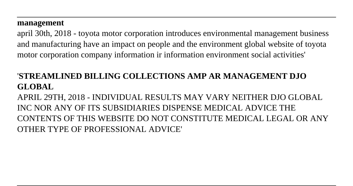#### **management**

april 30th, 2018 - toyota motor corporation introduces environmental management business and manufacturing have an impact on people and the environment global website of toyota motor corporation company information ir information environment social activities'

#### '**STREAMLINED BILLING COLLECTIONS AMP AR MANAGEMENT DJO GLOBAL**

APRIL 29TH, 2018 - INDIVIDUAL RESULTS MAY VARY NEITHER DJO GLOBAL INC NOR ANY OF ITS SUBSIDIARIES DISPENSE MEDICAL ADVICE THE CONTENTS OF THIS WEBSITE DO NOT CONSTITUTE MEDICAL LEGAL OR ANY OTHER TYPE OF PROFESSIONAL ADVICE'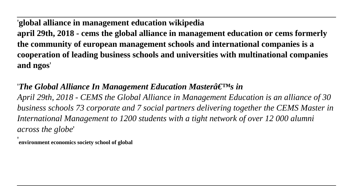'**global alliance in management education wikipedia**

**april 29th, 2018 - cems the global alliance in management education or cems formerly the community of european management schools and international companies is a cooperation of leading business schools and universities with multinational companies and ngos**'

### *'The Global Alliance In Management Education Masterâ* E<sup>TM</sup>s in

*April 29th, 2018 - CEMS the Global Alliance in Management Education is an alliance of 30 business schools 73 corporate and 7 social partners delivering together the CEMS Master in International Management to 1200 students with a tight network of over 12 000 alumni across the globe*'

'**environment economics society school of global**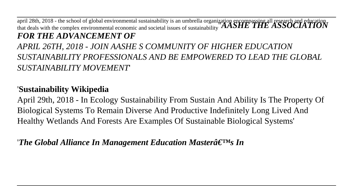april 28th, 2018 - the school of global environmental sustainability is an umbrella organization encompassing all research and education<br>that deals with the complex environmental economic and societal issues of sustainabi *FOR THE ADVANCEMENT OF*

*APRIL 26TH, 2018 - JOIN AASHE S COMMUNITY OF HIGHER EDUCATION SUSTAINABILITY PROFESSIONALS AND BE EMPOWERED TO LEAD THE GLOBAL SUSTAINABILITY MOVEMENT*'

#### '**Sustainability Wikipedia**

April 29th, 2018 - In Ecology Sustainability From Sustain And Ability Is The Property Of Biological Systems To Remain Diverse And Productive Indefinitely Long Lived And Healthy Wetlands And Forests Are Examples Of Sustainable Biological Systems'

'*The Global Alliance In Management Education Masterâ*€<sup>TM</sup>s In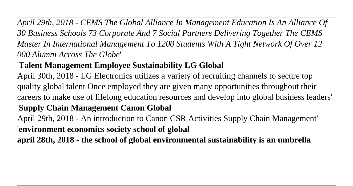*April 29th, 2018 - CEMS The Global Alliance In Management Education Is An Alliance Of 30 Business Schools 73 Corporate And 7 Social Partners Delivering Together The CEMS Master In International Management To 1200 Students With A Tight Network Of Over 12 000 Alumni Across The Globe*'

## '**Talent Management Employee Sustainability LG Global**

April 30th, 2018 - LG Electronics utilizes a variety of recruiting channels to secure top quality global talent Once employed they are given many opportunities throughout their careers to make use of lifelong education resources and develop into global business leaders'

## '**Supply Chain Management Canon Global**

April 29th, 2018 - An introduction to Canon CSR Activities Supply Chain Management' '**environment economics society school of global**

**april 28th, 2018 - the school of global environmental sustainability is an umbrella**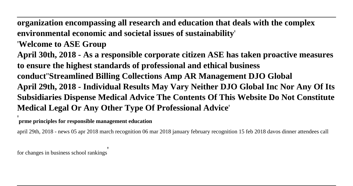**organization encompassing all research and education that deals with the complex environmental economic and societal issues of sustainability**'

'**Welcome to ASE Group**

**April 30th, 2018 - As a responsible corporate citizen ASE has taken proactive measures to ensure the highest standards of professional and ethical business conduct**''**Streamlined Billing Collections Amp AR Management DJO Global April 29th, 2018 - Individual Results May Vary Neither DJO Global Inc Nor Any Of Its Subsidiaries Dispense Medical Advice The Contents Of This Website Do Not Constitute Medical Legal Or Any Other Type Of Professional Advice**'

'**prme principles for responsible management education**

april 29th, 2018 - news 05 apr 2018 march recognition 06 mar 2018 january february recognition 15 feb 2018 davos dinner attendees call

for changes in business school rankings'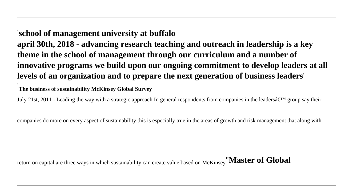#### '**school of management university at buffalo**

**april 30th, 2018 - advancing research teaching and outreach in leadership is a key theme in the school of management through our curriculum and a number of innovative programs we build upon our ongoing commitment to develop leaders at all levels of an organization and to prepare the next generation of business leaders**'

'**The business of sustainability McKinsey Global Survey**

July 21st, 2011 - Leading the way with a strategic approach In general respondents from companies in the leaders $\hat{\alpha} \in T^M$  group say their

companies do more on every aspect of sustainability this is especially true in the areas of growth and risk management that along with

return on capital are three ways in which sustainability can create value based on McKinsey''**Master of Global**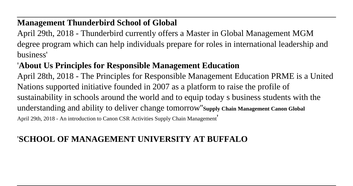#### **Management Thunderbird School of Global**

April 29th, 2018 - Thunderbird currently offers a Master in Global Management MGM degree program which can help individuals prepare for roles in international leadership and business'

### '**About Us Principles for Responsible Management Education**

April 28th, 2018 - The Principles for Responsible Management Education PRME is a United Nations supported initiative founded in 2007 as a platform to raise the profile of sustainability in schools around the world and to equip today s business students with the understanding and ability to deliver change tomorrow''**Supply Chain Management Canon Global** April 29th, 2018 - An introduction to Canon CSR Activities Supply Chain Management'

### '**SCHOOL OF MANAGEMENT UNIVERSITY AT BUFFALO**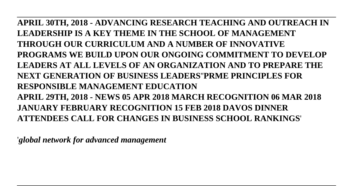**APRIL 30TH, 2018 - ADVANCING RESEARCH TEACHING AND OUTREACH IN LEADERSHIP IS A KEY THEME IN THE SCHOOL OF MANAGEMENT THROUGH OUR CURRICULUM AND A NUMBER OF INNOVATIVE PROGRAMS WE BUILD UPON OUR ONGOING COMMITMENT TO DEVELOP LEADERS AT ALL LEVELS OF AN ORGANIZATION AND TO PREPARE THE NEXT GENERATION OF BUSINESS LEADERS**''**PRME PRINCIPLES FOR RESPONSIBLE MANAGEMENT EDUCATION APRIL 29TH, 2018 - NEWS 05 APR 2018 MARCH RECOGNITION 06 MAR 2018 JANUARY FEBRUARY RECOGNITION 15 FEB 2018 DAVOS DINNER ATTENDEES CALL FOR CHANGES IN BUSINESS SCHOOL RANKINGS**'

'*global network for advanced management*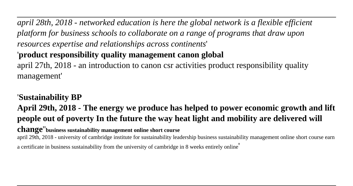*april 28th, 2018 - networked education is here the global network is a flexible efficient platform for business schools to collaborate on a range of programs that draw upon resources expertise and relationships across continents*' '**product responsibility quality management canon global**

april 27th, 2018 - an introduction to canon csr activities product responsibility quality management'

#### '**Sustainability BP**

**April 29th, 2018 - The energy we produce has helped to power economic growth and lift people out of poverty In the future the way heat light and mobility are delivered will change**''**business sustainability management online short course**

april 29th, 2018 - university of cambridge institute for sustainability leadership business sustainability management online short course earn

a certificate in business sustainability from the university of cambridge in 8 weeks entirely online'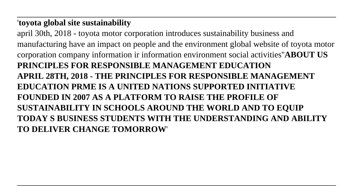#### '**toyota global site sustainability**

april 30th, 2018 - toyota motor corporation introduces sustainability business and manufacturing have an impact on people and the environment global website of toyota motor corporation company information ir information environment social activities''**ABOUT US PRINCIPLES FOR RESPONSIBLE MANAGEMENT EDUCATION APRIL 28TH, 2018 - THE PRINCIPLES FOR RESPONSIBLE MANAGEMENT EDUCATION PRME IS A UNITED NATIONS SUPPORTED INITIATIVE FOUNDED IN 2007 AS A PLATFORM TO RAISE THE PROFILE OF SUSTAINABILITY IN SCHOOLS AROUND THE WORLD AND TO EQUIP TODAY S BUSINESS STUDENTS WITH THE UNDERSTANDING AND ABILITY TO DELIVER CHANGE TOMORROW**'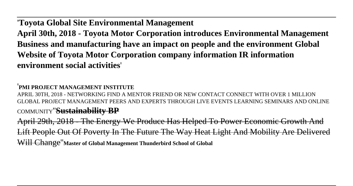'**Toyota Global Site Environmental Management**

**April 30th, 2018 - Toyota Motor Corporation introduces Environmental Management Business and manufacturing have an impact on people and the environment Global Website of Toyota Motor Corporation company information IR information environment social activities**'

'**PMI PROJECT MANAGEMENT INSTITUTE**

APRIL 30TH, 2018 - NETWORKING FIND A MENTOR FRIEND OR NEW CONTACT CONNECT WITH OVER 1 MILLION GLOBAL PROJECT MANAGEMENT PEERS AND EXPERTS THROUGH LIVE EVENTS LEARNING SEMINARS AND ONLINE COMMUNITY''**Sustainability BP**

April 29th, 2018 - The Energy We Produce Has Helped To Power Economic Growth And Lift People Out Of Poverty In The Future The Way Heat Light And Mobility Are Delivered Will Change''**Master of Global Management Thunderbird School of Global**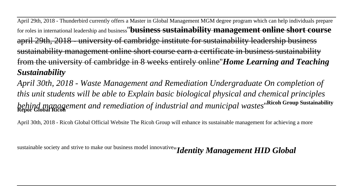April 29th, 2018 - Thunderbird currently offers a Master in Global Management MGM degree program which can help individuals prepare for roles in international leadership and business''**business sustainability management online short course** april 29th, 2018 - university of cambridge institute for sustainability leadership business sustainability management online short course earn a certificate in business sustainability from the university of cambridge in 8 weeks entirely online''*Home Learning and Teaching Sustainability*

*April 30th, 2018 - Waste Management and Remediation Undergraduate On completion of this unit students will be able to Explain basic biological physical and chemical principles behind management and remediation of industrial and municipal wastes*''**Ricoh Group Sustainability Repor Global Ricoh**

April 30th, 2018 - Ricoh Global Official Website The Ricoh Group will enhance its sustainable management for achieving a more

sustainable society and strive to make our business model innovative''*Identity Management HID Global*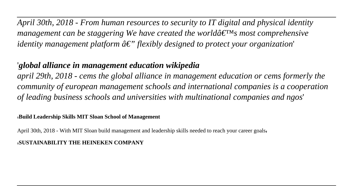*April 30th, 2018 - From human resources to security to IT digital and physical identity management can be staggering We have created the world* $\hat{a} \in \mathbb{N}$ *s most comprehensive identity management platform*  $\hat{a} \in \mathcal{F}'$  *flexibly designed to protect your organization* 

#### '*global alliance in management education wikipedia*

*april 29th, 2018 - cems the global alliance in management education or cems formerly the community of european management schools and international companies is a cooperation of leading business schools and universities with multinational companies and ngos*'

#### '**Build Leadership Skills MIT Sloan School of Management**

April 30th, 2018 - With MIT Sloan build management and leadership skills needed to reach your career goals,

#### '**SUSTAINABILITY THE HEINEKEN COMPANY**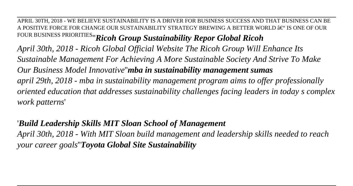APRIL 30TH, 2018 - WE BELIEVE SUSTAINABILITY IS A DRIVER FOR BUSINESS SUCCESS AND THAT BUSINESS CAN BE A POSITIVE FORCE FOR CHANGE OUR SUSTAINABILITY STRATEGY BREWING A BETTER WORLD  $\hat{a}\in$ " IS ONE OF OUR FOUR BUSINESS PRIORITIES''*Ricoh Group Sustainability Repor Global Ricoh April 30th, 2018 - Ricoh Global Official Website The Ricoh Group Will Enhance Its Sustainable Management For Achieving A More Sustainable Society And Strive To Make Our Business Model Innovative*''*mba in sustainability management sumas april 29th, 2018 - mba in sustainability management program aims to offer professionally oriented education that addresses sustainability challenges facing leaders in today s complex work patterns*'

#### '*Build Leadership Skills MIT Sloan School of Management*

*April 30th, 2018 - With MIT Sloan build management and leadership skills needed to reach your career goals*''*Toyota Global Site Sustainability*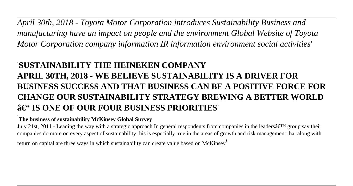*April 30th, 2018 - Toyota Motor Corporation introduces Sustainability Business and manufacturing have an impact on people and the environment Global Website of Toyota Motor Corporation company information IR information environment social activities*'

## '**SUSTAINABILITY THE HEINEKEN COMPANY APRIL 30TH, 2018 - WE BELIEVE SUSTAINABILITY IS A DRIVER FOR BUSINESS SUCCESS AND THAT BUSINESS CAN BE A POSITIVE FORCE FOR CHANGE OUR SUSTAINABILITY STRATEGY BREWING A BETTER WORLD – IS ONE OF OUR FOUR BUSINESS PRIORITIES**'

#### '**The business of sustainability McKinsey Global Survey**

July 21st, 2011 - Leading the way with a strategic approach In general respondents from companies in the leaders $\hat{\alpha} \in T^M$  group say their companies do more on every aspect of sustainability this is especially true in the areas of growth and risk management that along with

return on capital are three ways in which sustainability can create value based on McKinsey'